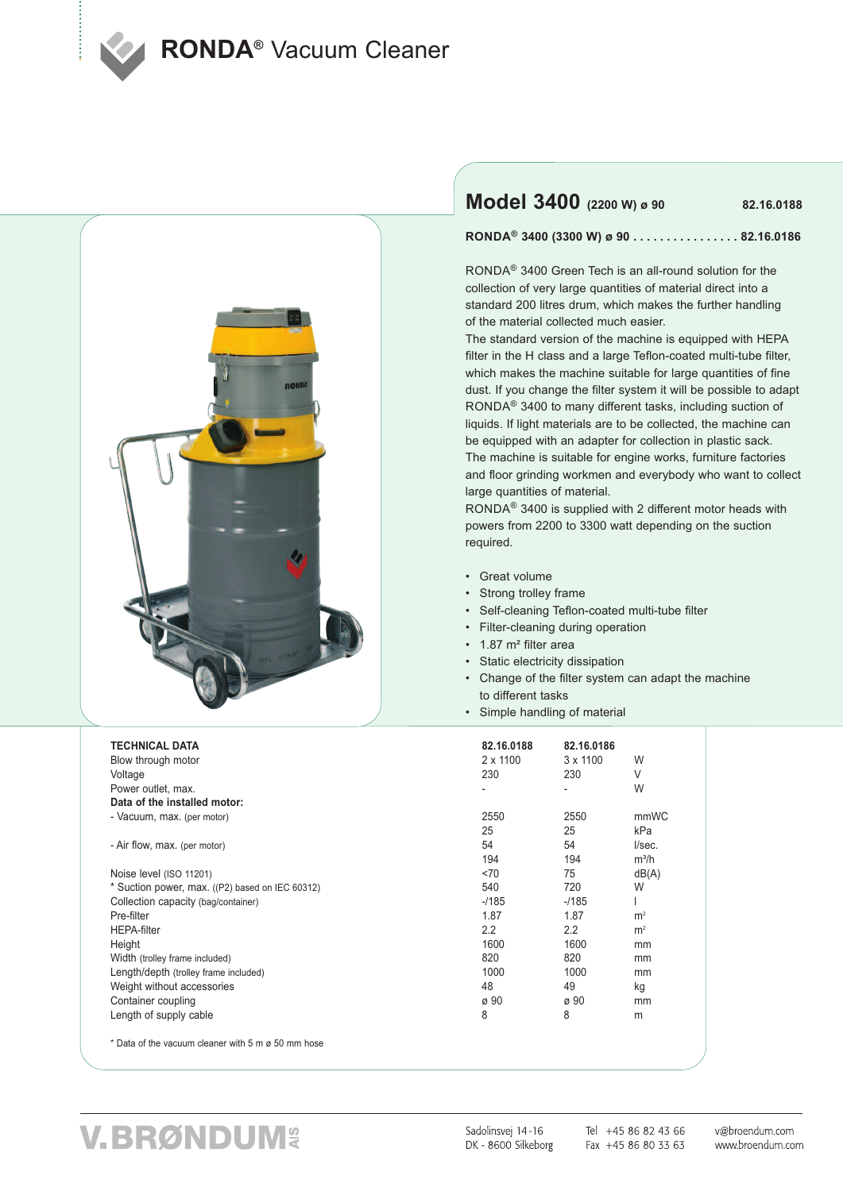**RONDA<sup>®</sup> Vacuum Cleaner** 



### **Model 3400 (2200 W) <sup>ø</sup> <sup>90</sup> 82.16.0188**

RONDA<sup>®</sup> 3400 (3300 W) ø 90 .................82.16.0186

RONDA® 3400 Green Tech is an all-round solution for the collection of very large quantities of material direct into a standard 200 litres drum, which makes the further handling of the material collected much easier.

The standard version of the machine is equipped with HEPA filter in the H class and a large Teflon-coated multi-tube filter, which makes the machine suitable for large quantities of fine dust. If you change the filter system it will be possible to adapt RONDA® 3400 to many different tasks, including suction of liquids. If light materials are to be collected, the machine can be equipped with an adapter for collection in plastic sack. The machine is suitable for engine works, furniture factories and floor grinding workmen and everybody who want to collect large quantities of material.

RONDA® 3400 is supplied with 2 different motor heads with powers from 2200 to 3300 watt depending on the suction required.

- Great volume
- Strong trolley frame
- Self-cleaning Teflon-coated multi-tube filter
- Filter-cleaning during operation
- 1.87 m² filter area
- Static electricity dissipation
- Change of the filter system can adapt the machine to different tasks
- Simple handling of material

| <b>TECHNICAL DATA</b>                              | 82.16.0188       | 82.16.0186      |                |
|----------------------------------------------------|------------------|-----------------|----------------|
| Blow through motor                                 | $2 \times 1100$  | $3 \times 1100$ | W              |
| Voltage                                            | 230              | 230             | V              |
| Power outlet, max.                                 |                  |                 | W              |
| Data of the installed motor:                       |                  |                 |                |
| - Vacuum, max. (per motor)                         | 2550             | 2550            | mmWC           |
|                                                    | 25               | 25              | kPa            |
| - Air flow, max. (per motor)                       | 54               | 54              | I/sec.         |
|                                                    | 194              | 194             | $m^3/h$        |
| Noise level (ISO 11201)                            | <70              | 75              | dB(A)          |
| * Suction power, max. ((P2) based on IEC 60312)    | 540              | 720             | W              |
| Collection capacity (bag/container)                | $-1185$          | $-1185$         |                |
| Pre-filter                                         | 1.87             | 1.87            | m <sup>2</sup> |
| <b>HEPA-filter</b>                                 | $2.2\phantom{0}$ | 2.2             | m <sup>2</sup> |
| Height                                             | 1600             | 1600            | mm             |
| Width (trolley frame included)                     | 820              | 820             | mm             |
| Length/depth (trolley frame included)              | 1000             | 1000            | mm             |
| Weight without accessories                         | 48               | 49              | kg             |
| Container coupling                                 | ø 90             | ø 90            | mm             |
| Length of supply cable                             | 8                | 8               | m              |
| * Data of the vacuum cleaner with 5 m ø 50 mm hose |                  |                 |                |

## V.BRØNDUM&